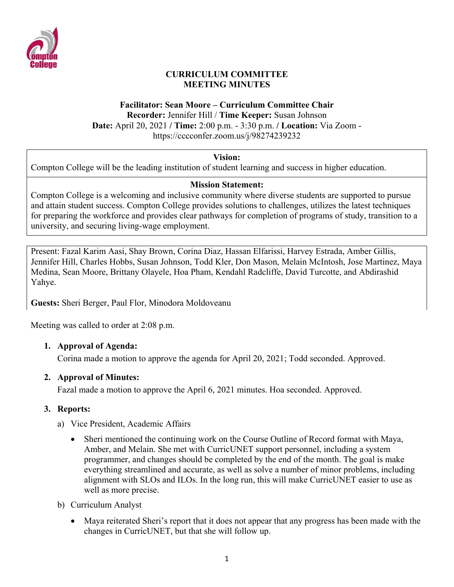

#### **CURRICULUM COMMITTEE MEETING MINUTES**

## **Facilitator: Sean Moore – Curriculum Committee Chair**

**Recorder:** Jennifer Hill / **Time Keeper:** Susan Johnson **Date:** April 20, 2021 **/ Time:** 2:00 p.m. - 3:30 p.m. **/ Location:** Via Zoom -

https://cccconfer.zoom.us/j/98274239232

### **Vision:**

Compton College will be the leading institution of student learning and success in higher education.

## **Mission Statement:**

Compton College is a welcoming and inclusive community where diverse students are supported to pursue and attain student success. Compton College provides solutions to challenges, utilizes the latest techniques for preparing the workforce and provides clear pathways for completion of programs of study, transition to a university, and securing living-wage employment.

Present: Fazal Karim Aasi, Shay Brown, Corina Diaz, Hassan Elfarissi, Harvey Estrada, Amber Gillis, Jennifer Hill, Charles Hobbs, Susan Johnson, Todd Kler, Don Mason, Melain McIntosh, Jose Martinez, Maya Medina, Sean Moore, Brittany Olayele, Hoa Pham, Kendahl Radcliffe, David Turcotte, and Abdirashid Yahye.

**Guests:** Sheri Berger, Paul Flor, Minodora Moldoveanu

Meeting was called to order at 2:08 p.m.

## **1. Approval of Agenda:**

Corina made a motion to approve the agenda for April 20, 2021; Todd seconded. Approved.

## **2. Approval of Minutes:**

Fazal made a motion to approve the April 6, 2021 minutes. Hoa seconded. Approved.

## **3. Reports:**

- a) Vice President, Academic Affairs
	- Sheri mentioned the continuing work on the Course Outline of Record format with Maya, Amber, and Melain. She met with CurricUNET support personnel, including a system programmer, and changes should be completed by the end of the month. The goal is make everything streamlined and accurate, as well as solve a number of minor problems, including alignment with SLOs and ILOs. In the long run, this will make CurricUNET easier to use as well as more precise.
- b) Curriculum Analyst
	- Maya reiterated Sheri's report that it does not appear that any progress has been made with the changes in CurricUNET, but that she will follow up.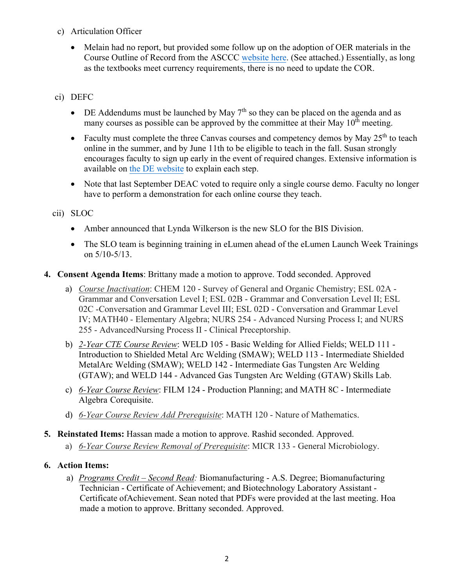- c) Articulation Officer
	- Melain had no report, but provided some follow up on the adoption of OER materials in the Course Outline of Record from the ASCCC website here. (See attached.) Essentially, as long as the textbooks meet currency requirements, there is no need to update the COR.

## ci) DEFC

- DE Addendums must be launched by May  $7<sup>th</sup>$  so they can be placed on the agenda and as many courses as possible can be approved by the committee at their May  $10<sup>th</sup>$  meeting.
- Faculty must complete the three Canvas courses and competency demos by May 25<sup>th</sup> to teach online in the summer, and by June 11th to be eligible to teach in the fall. Susan strongly encourages faculty to sign up early in the event of required changes. Extensive information is available on the DE website to explain each step.
- Note that last September DEAC voted to require only a single course demo. Faculty no longer have to perform a demonstration for each online course they teach.

### cii) SLOC

- Amber announced that Lynda Wilkerson is the new SLO for the BIS Division.
- The SLO team is beginning training in eLumen ahead of the eLumen Launch Week Trainings on 5/10-5/13.
- **4. Consent Agenda Items**: Brittany made a motion to approve. Todd seconded. Approved
	- a) *Course Inactivation*: CHEM 120 Survey of General and Organic Chemistry; ESL 02A Grammar and Conversation Level I; ESL 02B - Grammar and Conversation Level II; ESL 02C - Conversation and Grammar Level III; ESL 02D - Conversation and Grammar Level IV; MATH40 - Elementary Algebra; NURS 254 - Advanced Nursing Process I; and NURS 255 - Advanced Nursing Process II - Clinical Preceptorship.
	- b) *2-Year CTE Course Review*: WELD 105 Basic Welding for Allied Fields; WELD 111 Introduction to Shielded Metal Arc Welding (SMAW); WELD 113 - Intermediate Shielded MetalArc Welding (SMAW); WELD 142 - Intermediate Gas Tungsten Arc Welding (GTAW); and WELD 144 - Advanced Gas Tungsten Arc Welding (GTAW) Skills Lab.
	- c) *6-Year Course Review*: FILM 124 Production Planning; and MATH 8C Intermediate Algebra Corequisite.
	- d) *6-Year Course Review Add Prerequisite*: MATH 120 Nature of Mathematics.

### **5. Reinstated Items:** Hassan made a motion to approve. Rashid seconded. Approved.

a) *6-Year Course Review Removal of Prerequisite*: MICR 133 - General Microbiology.

### **6. Action Items:**

a) *Programs Credit – Second Read:* Biomanufacturing - A.S. Degree; Biomanufacturing Technician - Certificate of Achievement; and Biotechnology Laboratory Assistant - Certificate of Achievement. Sean noted that PDFs were provided at the last meeting. Hoa made a motion to approve. Brittany seconded. Approved.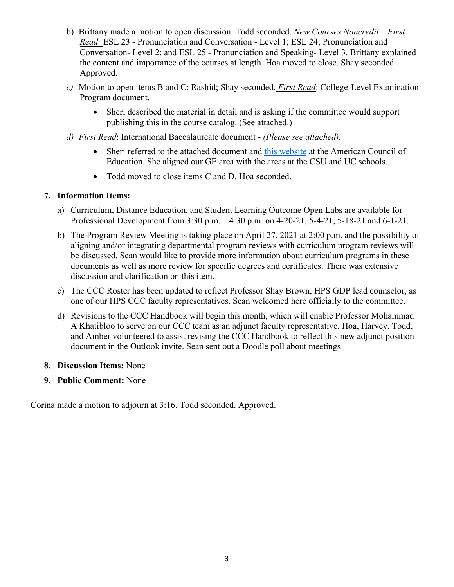- b) Brittany made a motion to open discussion. Todd seconded. *New Courses Noncredit – First Read:* ESL 23 - Pronunciation and Conversation - Level 1; ESL 24; Pronunciation and Conversation- Level 2; and ESL 25 - Pronunciation and Speaking- Level 3. Brittany explained the content and importance of the courses at length. Hoa moved to close. Shay seconded. Approved.
- *c)* Motion to open items B and C: Rashid; Shay seconded. *First Read*: College-Level Examination Program document.
	- Sheri described the material in detail and is asking if the committee would support publishing this in the course catalog. (See attached.)
- *d) First Read*: International Baccalaureate document *(Please see attached).*
	- Sheri referred to the attached document and this website at the American Council of Education. She aligned our GE area with the areas at the CSU and UC schools.
	- Todd moved to close items C and D. Hoa seconded.

### **7. Information Items:**

- a) Curriculum, Distance Education, and Student Learning Outcome Open Labs are available for Professional Development from 3:30 p.m. – 4:30 p.m. on 4-20-21, 5-4-21, 5-18-21 and 6-1-21.
- b) The Program Review Meeting is taking place on April 27, 2021 at 2:00 p.m. and the possibility of aligning and/or integrating departmental program reviews with curriculum program reviews will be discussed. Sean would like to provide more information about curriculum programs in these documents as well as more review for specific degrees and certificates. There was extensive discussion and clarification on this item.
- c) The CCC Roster has been updated to reflect Professor Shay Brown, HPS GDP lead counselor, as one of our HPS CCC faculty representatives. Sean welcomed here officially to the committee.
- d) Revisions to the CCC Handbook will begin this month, which will enable Professor Mohammad A Khatibloo to serve on our CCC team as an adjunct faculty representative. Hoa, Harvey, Todd, and Amber volunteered to assist revising the CCC Handbook to reflect this new adjunct position document in the Outlook invite. Sean sent out a Doodle poll about meetings
- **8. Discussion Items:** None
- **9. Public Comment:** None

Corina made a motion to adjourn at 3:16. Todd seconded. Approved.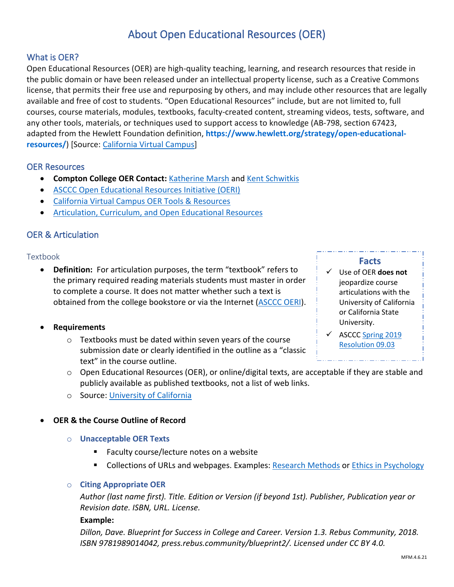# About Open Educational Resources (OER)

### What is OER?

Open Educational Resources (OER) are high-quality teaching, learning, and research resources that reside in the public domain or have been released under an intellectual property license, such as a Creative Commons license, that permits their free use and repurposing by others, and may include other resources that are legally available and free of cost to students. "Open Educational Resources" include, but are not limited to, full courses, course materials, modules, textbooks, faculty-created content, streaming videos, tests, software, and any other tools, materials, or techniques used to support access to knowledge (AB-798, section 67423, adapted from the Hewlett Foundation definition, **[https://www.hewlett.org/strategy/open-educational](https://www.hewlett.org/strategy/open-educational-resources/)[resources/](https://www.hewlett.org/strategy/open-educational-resources/)**) [Source: [California Virtual Campus\]](https://cvc.edu/open-educational-resources/)

#### OER Resources

- **Compton College OER Contact:** [Katherine Marsh](mailto:kmarsh@compton.edu) and [Kent Schwitkis](mailto:kschwitkis@compton.edu)
- [ASCCC Open Educational Resources Initiative \(OERI\)](https://asccc-oeri.org/)
- [California Virtual Campus OER Tools & Resources](https://cvc.edu/open-educational-resources/oer-tools-resources/)
- [Articulation, Curriculum, and Open Educational Resources](https://asccc-oeri.org/articulation-curriculum-and-open-educational-resources/)

### OER & Articulation

#### Textbook

• **Definition:** For articulation purposes, the term "textbook" refers to the primary required reading materials students must master in order to complete a course. It does not matter whether such a text is obtained from the college bookstore or via the Internet [\(ASCCC OERI\)](https://asccc-oeri.org/articulation-curriculum-and-open-educational-resources/).

#### • **Requirements**

o Textbooks must be dated within seven years of the course submission date or clearly identified in the outline as a "classic text" in the course outline.

#### **Facts**

- Use of OER **does not** jeopardize course articulations with the University of California or California State University.
- $\checkmark$  ASCCC Spring 2019 [Resolution 09.03](https://www.asccc.org/resolutions/documenting-open-educational-resources-options-course-outline-record)
- o Open Educational Resources (OER), or online/digital texts, are acceptable if they are stable and publicly available as published textbooks, not a list of web links.
- o Source: [University of California](https://www.ucop.edu/transfer-articulation/transferable-course-agreements/tca-policy/textbook-requirements.html)

#### • **OER & the Course Outline of Record**

- o **Unacceptable OER Texts**
	- **Faculty course/lecture notes on a website**
	- **Collections of URLs and webpages. Examples: [Research Methods](https://www.simplypsychology.org/research-methods.html) or [Ethics in Psychology](https://www.apa.org/topics/ethics)**

#### o **Citing Appropriate OER**

*Author (last name first). Title. Edition or Version (if beyond 1st). Publisher, Publication year or Revision date. ISBN, URL. License.*

#### **Example:**

*Dillon, Dave. Blueprint for Success in College and Career. Version 1.3. Rebus Community, 2018. ISBN 9781989014042, press.rebus.community/blueprint2/. Licensed under CC BY 4.0.*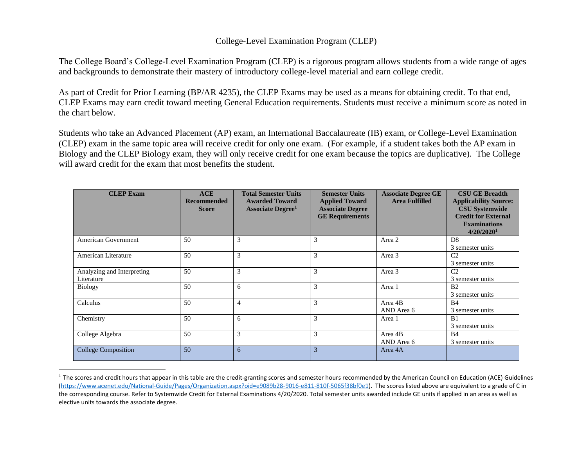#### College-Level Examination Program (CLEP)

The College Board's College-Level Examination Program (CLEP) is a rigorous program allows students from a wide range of ages and backgrounds to demonstrate their mastery of introductory college-level material and earn college credit.

As part of Credit for Prior Learning (BP/AR 4235), the CLEP Exams may be used as a means for obtaining credit. To that end, CLEP Exams may earn credit toward meeting General Education requirements. Students must receive a minimum score as noted in the chart below.

Students who take an Advanced Placement (AP) exam, an International Baccalaureate (IB) exam, or College-Level Examination (CLEP) exam in the same topic area will receive credit for only one exam. (For example, if a student takes both the AP exam in Biology and the CLEP Biology exam, they will only receive credit for one exam because the topics are duplicative). The College will award credit for the exam that most benefits the student.

| <b>CLEP</b> Exam                         | <b>ACE</b><br><b>Recommended</b><br><b>Score</b> | <b>Total Semester Units</b><br><b>Awarded Toward</b><br><b>Associate Degree</b> <sup>1</sup> | <b>Semester Units</b><br><b>Applied Toward</b><br><b>Associate Degree</b><br><b>GE Requirements</b> | <b>Associate Degree GE</b><br><b>Area Fulfilled</b> | <b>CSU GE Breadth</b><br><b>Applicability Source:</b><br><b>CSU Systemwide</b><br><b>Credit for External</b><br><b>Examinations</b><br>4/20/20201 |
|------------------------------------------|--------------------------------------------------|----------------------------------------------------------------------------------------------|-----------------------------------------------------------------------------------------------------|-----------------------------------------------------|---------------------------------------------------------------------------------------------------------------------------------------------------|
| <b>American Government</b>               | 50                                               | 3                                                                                            | 3                                                                                                   | Area 2                                              | D <sub>8</sub><br>3 semester units                                                                                                                |
| American Literature                      | 50                                               | 3                                                                                            | 3                                                                                                   | Area 3                                              | C <sub>2</sub><br>3 semester units                                                                                                                |
| Analyzing and Interpreting<br>Literature | 50                                               | 3                                                                                            | 3                                                                                                   | Area 3                                              | C <sub>2</sub><br>3 semester units                                                                                                                |
| <b>Biology</b>                           | 50                                               | 6                                                                                            | 3                                                                                                   | Area 1                                              | <b>B2</b><br>3 semester units                                                                                                                     |
| Calculus                                 | 50                                               | $\overline{4}$                                                                               | 3                                                                                                   | Area 4B<br>AND Area 6                               | <b>B4</b><br>3 semester units                                                                                                                     |
| Chemistry                                | 50                                               | 6                                                                                            | 3                                                                                                   | Area 1                                              | B <sub>1</sub><br>3 semester units                                                                                                                |
| College Algebra                          | 50                                               | 3                                                                                            | 3                                                                                                   | Area 4B<br>AND Area 6                               | <b>B4</b><br>3 semester units                                                                                                                     |
| <b>College Composition</b>               | 50                                               | 6                                                                                            | 3                                                                                                   | Area 4A                                             |                                                                                                                                                   |

 $^1$  The scores and credit hours that appear in this table are the credit-granting scores and semester hours recommended by the American Council on Education (ACE) Guidelines [\(https://www.acenet.edu/National-Guide/Pages/Organization.aspx?oid=e9089b28-9016-e811-810f-5065f38bf0e1\)](https://www.acenet.edu/National-Guide/Pages/Organization.aspx?oid=e9089b28-9016-e811-810f-5065f38bf0e1). The scores listed above are equivalent to a grade of C in the corresponding course. Refer to Systemwide Credit for External Examinations 4/20/2020. Total semester units awarded include GE units if applied in an area as well as elective units towards the associate degree.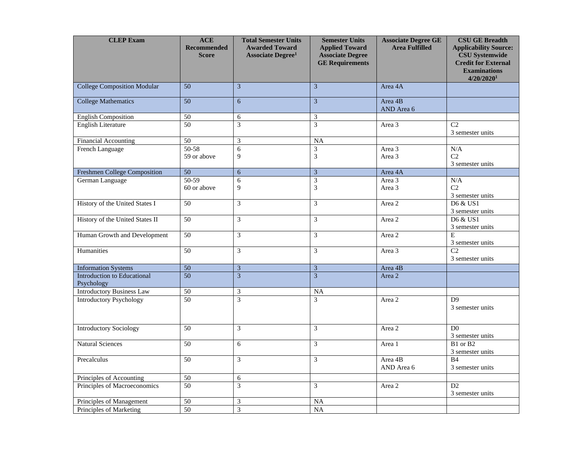| <b>CLEP Exam</b>                                 | <b>ACE</b><br><b>Recommended</b><br><b>Score</b> | <b>Total Semester Units</b><br><b>Awarded Toward</b><br><b>Associate Degree<sup>1</sup></b> | <b>Semester Units</b><br><b>Applied Toward</b><br><b>Associate Degree</b><br><b>GE Requirements</b> | <b>Associate Degree GE</b><br><b>Area Fulfilled</b> | <b>CSU GE Breadth</b><br><b>Applicability Source:</b><br><b>CSU Systemwide</b><br><b>Credit for External</b><br><b>Examinations</b><br>4/20/20201 |
|--------------------------------------------------|--------------------------------------------------|---------------------------------------------------------------------------------------------|-----------------------------------------------------------------------------------------------------|-----------------------------------------------------|---------------------------------------------------------------------------------------------------------------------------------------------------|
| <b>College Composition Modular</b>               | 50                                               | $\overline{3}$                                                                              | 3                                                                                                   | Area 4A                                             |                                                                                                                                                   |
| <b>College Mathematics</b>                       | 50                                               | 6                                                                                           | $\overline{\mathbf{3}}$                                                                             | Area 4B<br>AND Area 6                               |                                                                                                                                                   |
| <b>English Composition</b>                       | 50                                               | 6                                                                                           | $\mathfrak{Z}$                                                                                      |                                                     |                                                                                                                                                   |
| <b>English Literature</b>                        | $\overline{50}$                                  | $\overline{3}$                                                                              | $\overline{3}$                                                                                      | Area 3                                              | C <sub>2</sub><br>3 semester units                                                                                                                |
| <b>Financial Accounting</b>                      | 50                                               | 3                                                                                           | $\overline{NA}$                                                                                     |                                                     |                                                                                                                                                   |
| French Language                                  | $50-58$<br>59 or above                           | 6<br>9                                                                                      | 3<br>3                                                                                              | Area 3<br>Area 3                                    | N/A<br>C2<br>3 semester units                                                                                                                     |
| Freshmen College Composition                     | 50                                               | $\sqrt{6}$                                                                                  | 3                                                                                                   | Area 4A                                             |                                                                                                                                                   |
| German Language                                  | $50-59$<br>60 or above                           | 6<br>$\overline{9}$                                                                         | $\overline{3}$<br>3                                                                                 | Area 3<br>Area 3                                    | N/A<br>C <sub>2</sub><br>3 semester units                                                                                                         |
| History of the United States I                   | 50                                               | $\overline{\mathbf{3}}$                                                                     | $\overline{3}$                                                                                      | Area 2                                              | D6 & US1<br>3 semester units                                                                                                                      |
| History of the United States II                  | $\overline{50}$                                  | 3                                                                                           | 3                                                                                                   | Area 2                                              | D6 & US1<br>3 semester units                                                                                                                      |
| Human Growth and Development                     | $\overline{50}$                                  | 3                                                                                           | 3                                                                                                   | Area 2                                              | E<br>3 semester units                                                                                                                             |
| Humanities                                       | 50                                               | $\overline{\mathbf{3}}$                                                                     | $\overline{3}$                                                                                      | Area 3                                              | $\overline{C2}$<br>3 semester units                                                                                                               |
| <b>Information Systems</b>                       | 50                                               | $\sqrt{3}$                                                                                  | 3                                                                                                   | Area 4B                                             |                                                                                                                                                   |
| <b>Introduction to Educational</b><br>Psychology | $\overline{50}$                                  |                                                                                             | $\overline{3}$                                                                                      | Area 2                                              |                                                                                                                                                   |
| <b>Introductory Business Law</b>                 | 50                                               | $\ensuremath{\mathfrak{Z}}$                                                                 | <b>NA</b>                                                                                           |                                                     |                                                                                                                                                   |
| <b>Introductory Psychology</b>                   | 50                                               | $\overline{3}$                                                                              | 3                                                                                                   | Area 2                                              | D <sup>9</sup><br>3 semester units                                                                                                                |
| <b>Introductory Sociology</b>                    | 50                                               | 3                                                                                           | 3                                                                                                   | Area 2                                              | D <sub>0</sub><br>3 semester units                                                                                                                |
| <b>Natural Sciences</b>                          | $\overline{50}$                                  | $\sqrt{6}$                                                                                  | 3                                                                                                   | Area 1                                              | B1 or B2<br>3 semester units                                                                                                                      |
| Precalculus                                      | 50                                               | 3                                                                                           | 3                                                                                                   | Area 4B<br>AND Area 6                               | B <sub>4</sub><br>3 semester units                                                                                                                |
| Principles of Accounting                         | $\overline{50}$                                  | 6                                                                                           |                                                                                                     |                                                     |                                                                                                                                                   |
| Principles of Macroeconomics                     | 50                                               | $\overline{3}$                                                                              | 3                                                                                                   | Area 2                                              | D2<br>3 semester units                                                                                                                            |
| Principles of Management                         | 50                                               | 3                                                                                           | $\rm NA$                                                                                            |                                                     |                                                                                                                                                   |
| Principles of Marketing                          | 50                                               | $\overline{3}$                                                                              | $\overline{NA}$                                                                                     |                                                     |                                                                                                                                                   |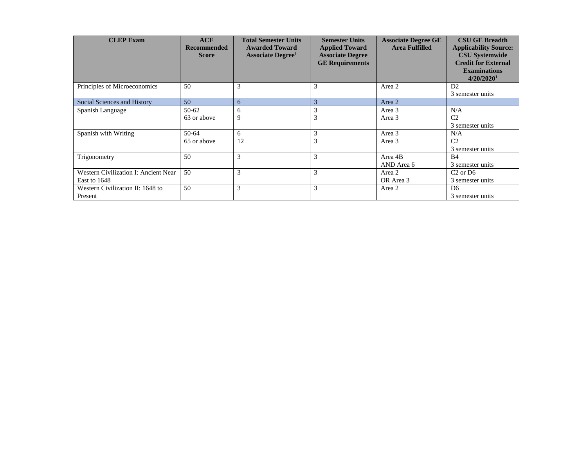| <b>CLEP</b> Exam                                     | ACE<br><b>Recommended</b><br><b>Score</b> | <b>Total Semester Units</b><br><b>Awarded Toward</b><br><b>Associate Degree</b> <sup>1</sup> | <b>Semester Units</b><br><b>Applied Toward</b><br><b>Associate Degree</b><br><b>GE Requirements</b> | <b>Associate Degree GE</b><br><b>Area Fulfilled</b> | <b>CSU GE Breadth</b><br><b>Applicability Source:</b><br><b>CSU Systemwide</b><br><b>Credit for External</b><br><b>Examinations</b><br>4/20/2020 <sup>1</sup> |
|------------------------------------------------------|-------------------------------------------|----------------------------------------------------------------------------------------------|-----------------------------------------------------------------------------------------------------|-----------------------------------------------------|---------------------------------------------------------------------------------------------------------------------------------------------------------------|
| Principles of Microeconomics                         | 50                                        | 3                                                                                            | 3                                                                                                   | Area 2                                              | D2<br>3 semester units                                                                                                                                        |
| Social Sciences and History                          | 50                                        | 6                                                                                            | 3                                                                                                   | Area 2                                              |                                                                                                                                                               |
| Spanish Language                                     | $50-62$<br>63 or above                    | 6<br>9                                                                                       | 3<br>J.                                                                                             | Area 3<br>Area 3                                    | N/A<br>C <sub>2</sub><br>3 semester units                                                                                                                     |
| Spanish with Writing                                 | $50-64$<br>65 or above                    | 6<br>12                                                                                      | 3<br>J.                                                                                             | Area 3<br>Area 3                                    | N/A<br>C <sub>2</sub><br>3 semester units                                                                                                                     |
| Trigonometry                                         | 50                                        | 3                                                                                            | 3                                                                                                   | Area 4B<br>AND Area 6                               | B <sub>4</sub><br>3 semester units                                                                                                                            |
| Western Civilization I: Ancient Near<br>East to 1648 | 50                                        | 3                                                                                            | 3                                                                                                   | Area 2<br>OR Area 3                                 | $C2$ or D <sub>6</sub><br>3 semester units                                                                                                                    |
| Western Civilization II: 1648 to<br>Present          | 50                                        | 3                                                                                            | 3                                                                                                   | Area 2                                              | D <sub>6</sub><br>3 semester units                                                                                                                            |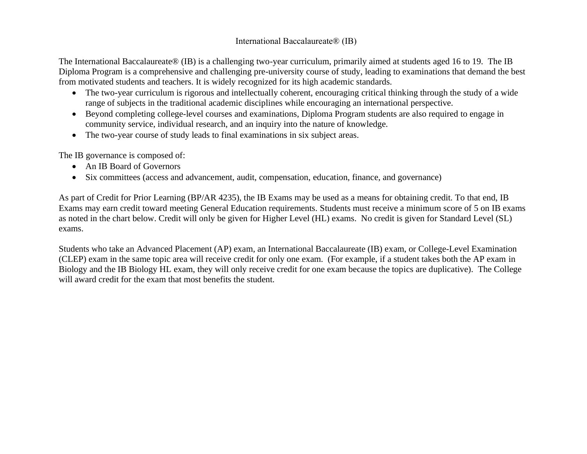### International Baccalaureate® (IB)

The International Baccalaureate® (IB) is a challenging two-year curriculum, primarily aimed at students aged 16 to 19. The IB Diploma Program is a comprehensive and challenging pre-university course of study, leading to examinations that demand the best from motivated students and teachers. It is widely recognized for its high academic standards.

- The two-year curriculum is rigorous and intellectually coherent, encouraging critical thinking through the study of a wide range of subjects in the traditional academic disciplines while encouraging an international perspective.
- Beyond completing college-level courses and examinations, Diploma Program students are also required to engage in community service, individual research, and an inquiry into the nature of knowledge.
- The two-year course of study leads to final examinations in six subject areas.

The IB governance is composed of:

- An IB Board of Governors
- Six committees (access and advancement, audit, compensation, education, finance, and governance)

As part of Credit for Prior Learning (BP/AR 4235), the IB Exams may be used as a means for obtaining credit. To that end, IB Exams may earn credit toward meeting General Education requirements. Students must receive a minimum score of 5 on IB exams as noted in the chart below. Credit will only be given for Higher Level (HL) exams. No credit is given for Standard Level (SL) exams.

Students who take an Advanced Placement (AP) exam, an International Baccalaureate (IB) exam, or College-Level Examination (CLEP) exam in the same topic area will receive credit for only one exam. (For example, if a student takes both the AP exam in Biology and the IB Biology HL exam, they will only receive credit for one exam because the topics are duplicative). The College will award credit for the exam that most benefits the student.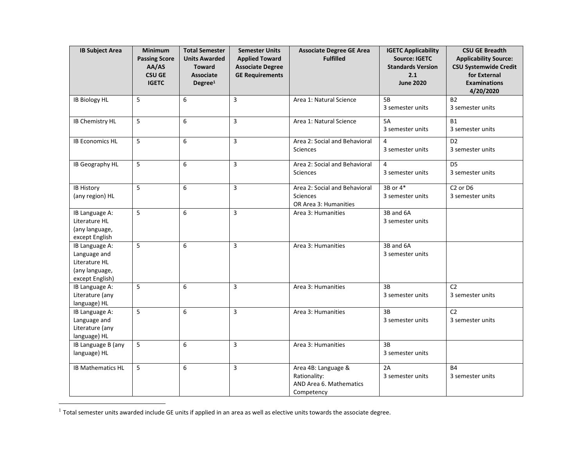| <b>IB Subject Area</b>                                                               | <b>Minimum</b><br><b>Passing Score</b><br>AA/AS<br><b>CSU GE</b><br><b>IGETC</b> | <b>Total Semester</b><br><b>Units Awarded</b><br><b>Toward</b><br><b>Associate</b><br>Degree <sup>1</sup> | <b>Semester Units</b><br><b>Applied Toward</b><br><b>Associate Degree</b><br><b>GE Requirements</b> | <b>Associate Degree GE Area</b><br><b>Fulfilled</b>                          | <b>IGETC Applicability</b><br><b>Source: IGETC</b><br><b>Standards Version</b><br>2.1<br><b>June 2020</b> | <b>CSU GE Breadth</b><br><b>Applicability Source:</b><br><b>CSU Systemwide Credit</b><br>for External<br><b>Examinations</b><br>4/20/2020 |
|--------------------------------------------------------------------------------------|----------------------------------------------------------------------------------|-----------------------------------------------------------------------------------------------------------|-----------------------------------------------------------------------------------------------------|------------------------------------------------------------------------------|-----------------------------------------------------------------------------------------------------------|-------------------------------------------------------------------------------------------------------------------------------------------|
| <b>IB Biology HL</b>                                                                 | 5                                                                                | 6                                                                                                         | 3                                                                                                   | Area 1: Natural Science                                                      | 5B<br>3 semester units                                                                                    | <b>B2</b><br>3 semester units                                                                                                             |
| <b>IB Chemistry HL</b>                                                               | 5                                                                                | 6                                                                                                         | 3                                                                                                   | Area 1: Natural Science                                                      | 5A<br>3 semester units                                                                                    | <b>B1</b><br>3 semester units                                                                                                             |
| <b>IB Economics HL</b>                                                               | 5                                                                                | 6                                                                                                         | 3                                                                                                   | Area 2: Social and Behavioral<br><b>Sciences</b>                             | 4<br>3 semester units                                                                                     | D <sub>2</sub><br>3 semester units                                                                                                        |
| IB Geography HL                                                                      | 5                                                                                | 6                                                                                                         | 3                                                                                                   | Area 2: Social and Behavioral<br><b>Sciences</b>                             | 4<br>3 semester units                                                                                     | D <sub>5</sub><br>3 semester units                                                                                                        |
| <b>IB History</b><br>(any region) HL                                                 | 5                                                                                | 6                                                                                                         | 3                                                                                                   | Area 2: Social and Behavioral<br>Sciences<br>OR Area 3: Humanities           | 3B or 4*<br>3 semester units                                                                              | C <sub>2</sub> or D <sub>6</sub><br>3 semester units                                                                                      |
| IB Language A:<br>Literature HL<br>(any language,<br>except English                  | 5                                                                                | 6                                                                                                         | 3                                                                                                   | Area 3: Humanities                                                           | 3B and 6A<br>3 semester units                                                                             |                                                                                                                                           |
| IB Language A:<br>Language and<br>Literature HL<br>(any language,<br>except English) | 5                                                                                | 6                                                                                                         | 3                                                                                                   | Area 3: Humanities                                                           | 3B and 6A<br>3 semester units                                                                             |                                                                                                                                           |
| IB Language A:<br>Literature (any<br>language) HL                                    | 5                                                                                | 6                                                                                                         | 3                                                                                                   | Area 3: Humanities                                                           | 3B<br>3 semester units                                                                                    | C <sub>2</sub><br>3 semester units                                                                                                        |
| IB Language A:<br>Language and<br>Literature (any<br>language) HL                    | 5                                                                                | 6                                                                                                         | 3                                                                                                   | Area 3: Humanities                                                           | 3B<br>3 semester units                                                                                    | C <sub>2</sub><br>3 semester units                                                                                                        |
| IB Language B (any<br>language) HL                                                   | 5                                                                                | 6                                                                                                         | 3                                                                                                   | Area 3: Humanities                                                           | 3B<br>3 semester units                                                                                    |                                                                                                                                           |
| <b>IB Mathematics HL</b>                                                             | 5                                                                                | 6                                                                                                         | 3                                                                                                   | Area 4B: Language &<br>Rationality:<br>AND Area 6. Mathematics<br>Competency | 2A<br>3 semester units                                                                                    | <b>B4</b><br>3 semester units                                                                                                             |

 $^1$  Total semester units awarded include GE units if applied in an area as well as elective units towards the associate degree.